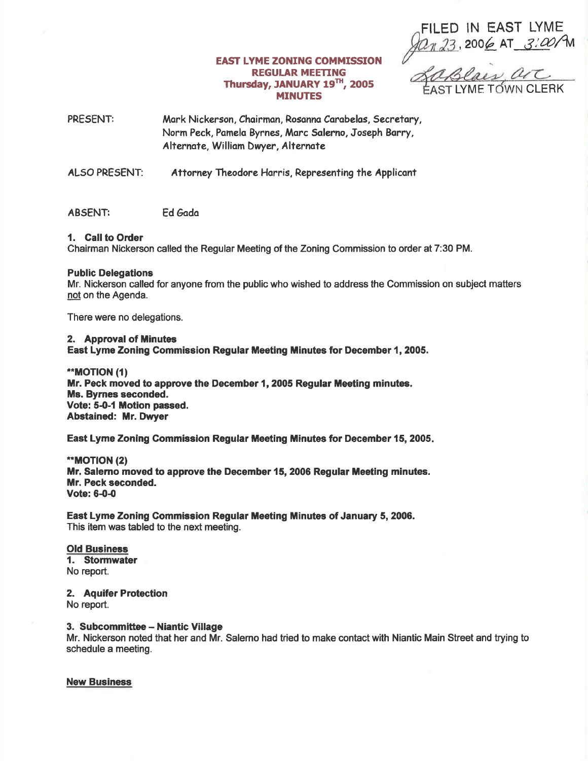FILED IN EAST LYME 2006 AT 3:00/M

## **EAST LYME ZONING COMMISSION REGULAR MEETING** Thursday, JANUARY 19 $^{\text{th}}$ , 2005<br>MINUTES MINUTES 72005 EAST LYME TOWN CLERK

PRESENT: Mark Nickerson, Chairman, Rosanna Carabelas, Secretary, Norm Peck, Pomelo Byrnes, Morc Solerno, Joseph Borry, Alternate, William Dwyer, Alternate

ALSO PRESENT: Attorney Theodore Harris, Representing the Applicant

# ABSENT: Ed Gada

# 1. Gall to Order

Chairman Nickerson called the Regular Meeting of the Zoning Commission to order at 7:30 PM.

### Public Delegations

Mr. Nickerson called for anyone from the public who wished to address the Commission on subject matters not on the Agenda.

There were no delegations.

#### 2. Approval of Minutes

East Lyme Zoning Commission Regular Meeting tinutes for December 1, 2005.

\*MOTION (11 Mr. Peck moved to approve the December 1, 2005 Regular Meeting minutes. Ms. Byrnes seconded. Vote: 5-0-1 Motion passed. Abstained: Mr. Dwyer

East Lyme Zoning Commission Regular Meeting Minutes for December 15, 2005.

\*\*MOT|ON (2) Mr. Salerno moved to approve the December 15, 2006 Regular Meeting minutes. Mr. Peck seconded. Vote: 6-0-0

East Lyme Zoning Gommission Regular Meeting Minutes of January 5, 2006. This item was tabled to the next meeting.

### Old Business 1. Stormwater No report.

2. Aquifer Protection No report.

3. Subcommittee - Niantic Village

Mr. Nickerson noted that her and Mr. Salemo had tried to make contact with Niantic Main Street and trying to schedule a meeting.

New Business